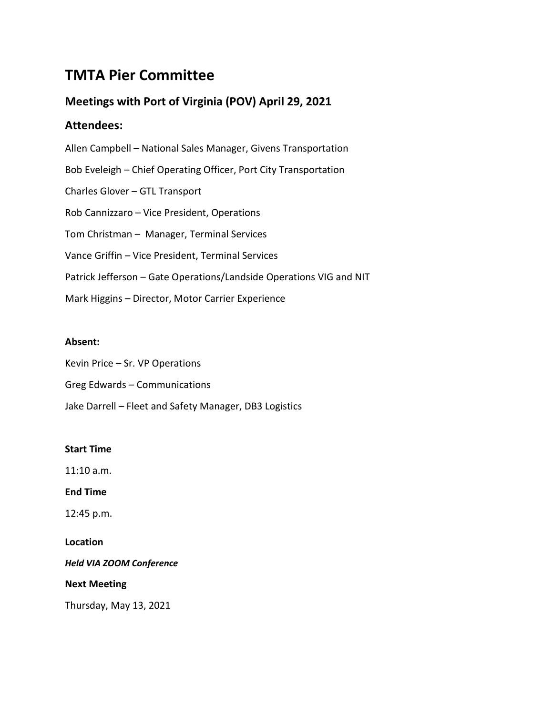# **TMTA Pier Committee**

# **Meetings with Port of Virginia (POV) April 29, 2021**

# **Attendees:**

Allen Campbell – National Sales Manager, Givens Transportation Bob Eveleigh – Chief Operating Officer, Port City Transportation Charles Glover – GTL Transport Rob Cannizzaro – Vice President, Operations Tom Christman – Manager, Terminal Services Vance Griffin – Vice President, Terminal Services Patrick Jefferson – Gate Operations/Landside Operations VIG and NIT Mark Higgins – Director, Motor Carrier Experience

# **Absent:**

Kevin Price – Sr. VP Operations

- Greg Edwards Communications
- Jake Darrell Fleet and Safety Manager, DB3 Logistics

# **Start Time**

11:10 a.m.

**End Time**

12:45 p.m.

# **Location**

*Held VIA ZOOM Conference*

# **Next Meeting**

Thursday, May 13, 2021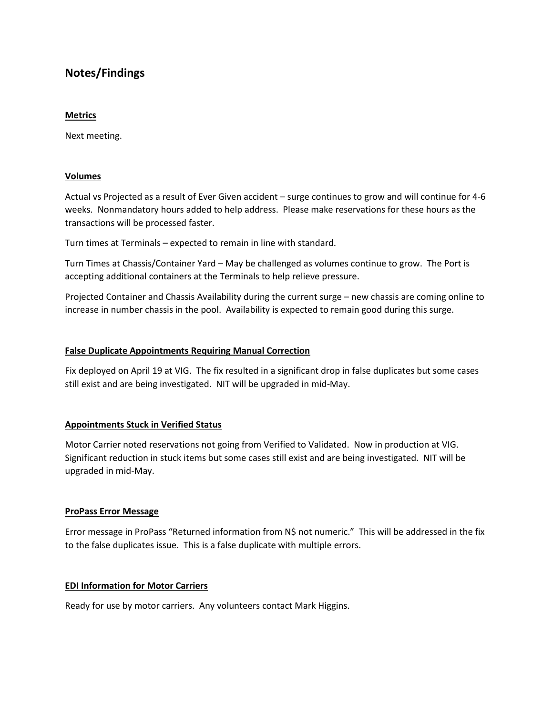# **Notes/Findings**

#### **Metrics**

Next meeting.

# **Volumes**

Actual vs Projected as a result of Ever Given accident – surge continues to grow and will continue for 4-6 weeks. Nonmandatory hours added to help address. Please make reservations for these hours as the transactions will be processed faster.

Turn times at Terminals – expected to remain in line with standard.

Turn Times at Chassis/Container Yard – May be challenged as volumes continue to grow. The Port is accepting additional containers at the Terminals to help relieve pressure.

Projected Container and Chassis Availability during the current surge – new chassis are coming online to increase in number chassis in the pool. Availability is expected to remain good during this surge.

#### **False Duplicate Appointments Requiring Manual Correction**

Fix deployed on April 19 at VIG. The fix resulted in a significant drop in false duplicates but some cases still exist and are being investigated. NIT will be upgraded in mid-May.

# **Appointments Stuck in Verified Status**

Motor Carrier noted reservations not going from Verified to Validated. Now in production at VIG. Significant reduction in stuck items but some cases still exist and are being investigated. NIT will be upgraded in mid-May.

#### **ProPass Error Message**

Error message in ProPass "Returned information from N\$ not numeric." This will be addressed in the fix to the false duplicates issue. This is a false duplicate with multiple errors.

# **EDI Information for Motor Carriers**

Ready for use by motor carriers. Any volunteers contact Mark Higgins.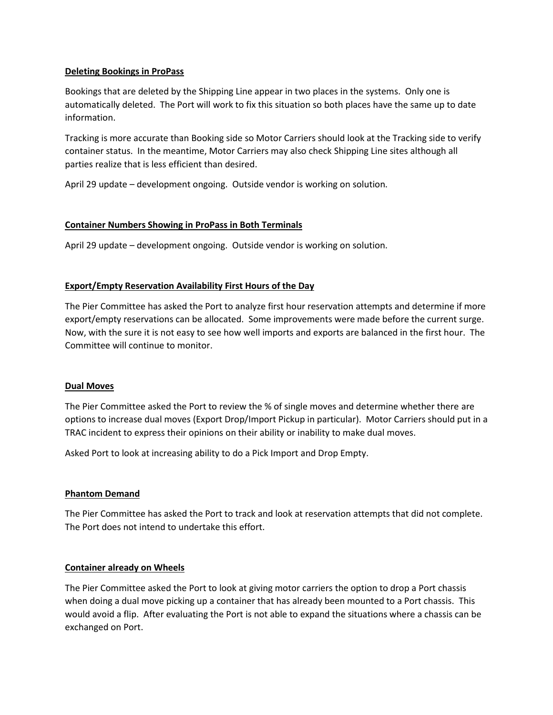# **Deleting Bookings in ProPass**

Bookings that are deleted by the Shipping Line appear in two places in the systems. Only one is automatically deleted. The Port will work to fix this situation so both places have the same up to date information.

Tracking is more accurate than Booking side so Motor Carriers should look at the Tracking side to verify container status. In the meantime, Motor Carriers may also check Shipping Line sites although all parties realize that is less efficient than desired.

April 29 update – development ongoing. Outside vendor is working on solution.

# **Container Numbers Showing in ProPass in Both Terminals**

April 29 update – development ongoing. Outside vendor is working on solution.

# **Export/Empty Reservation Availability First Hours of the Day**

The Pier Committee has asked the Port to analyze first hour reservation attempts and determine if more export/empty reservations can be allocated. Some improvements were made before the current surge. Now, with the sure it is not easy to see how well imports and exports are balanced in the first hour. The Committee will continue to monitor.

# **Dual Moves**

The Pier Committee asked the Port to review the % of single moves and determine whether there are options to increase dual moves (Export Drop/Import Pickup in particular). Motor Carriers should put in a TRAC incident to express their opinions on their ability or inability to make dual moves.

Asked Port to look at increasing ability to do a Pick Import and Drop Empty.

# **Phantom Demand**

The Pier Committee has asked the Port to track and look at reservation attempts that did not complete. The Port does not intend to undertake this effort.

# **Container already on Wheels**

The Pier Committee asked the Port to look at giving motor carriers the option to drop a Port chassis when doing a dual move picking up a container that has already been mounted to a Port chassis. This would avoid a flip. After evaluating the Port is not able to expand the situations where a chassis can be exchanged on Port.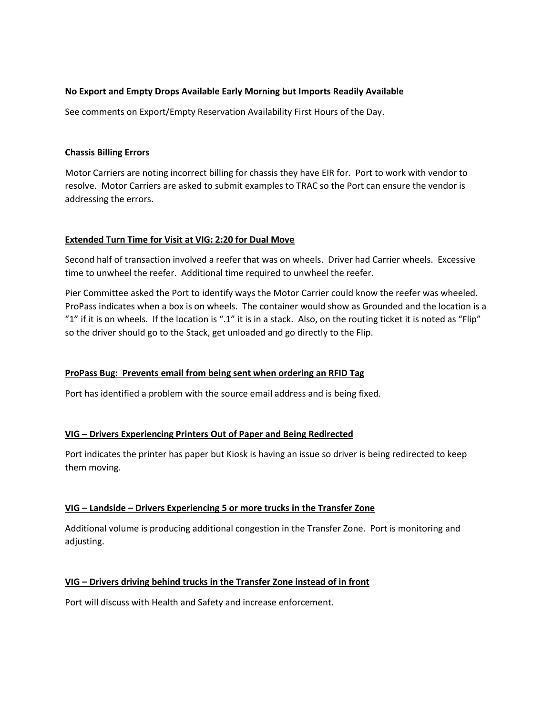# **No Export and Empty Drops Available Early Morning but Imports Readily Available**

See comments on Export/Empty Reservation Availability First Hours of the Day.

# **Chassis Billing Errors**

Motor Carriers are noting incorrect billing for chassis they have EIR for. Port to work with vendor to resolve. Motor Carriers are asked to submit examples to TRAC so the Port can ensure the vendor is addressing the errors.

# **Extended Turn Time for Visit at VIG: 2:20 for Dual Move**

Second half of transaction involved a reefer that was on wheels. Driver had Carrier wheels. Excessive time to unwheel the reefer. Additional time required to unwheel the reefer.

Pier Committee asked the Port to identify ways the Motor Carrier could know the reefer was wheeled. ProPass indicates when a box is on wheels. The container would show as Grounded and the location is a "1" if it is on wheels. If the location is ".1" it is in a stack. Also, on the routing ticket it is noted as "Flip" so the driver should go to the Stack, get unloaded and go directly to the Flip.

# **ProPass Bug: Prevents email from being sent when ordering an RFID Tag**

Port has identified a problem with the source email address and is being fixed.

# **VIG – Drivers Experiencing Printers Out of Paper and Being Redirected**

Port indicates the printer has paper but Kiosk is having an issue so driver is being redirected to keep them moving.

# **VIG – Landside – Drivers Experiencing 5 or more trucks in the Transfer Zone**

Additional volume is producing additional congestion in the Transfer Zone. Port is monitoring and adjusting.

# **VIG – Drivers driving behind trucks in the Transfer Zone instead of in front**

Port will discuss with Health and Safety and increase enforcement.